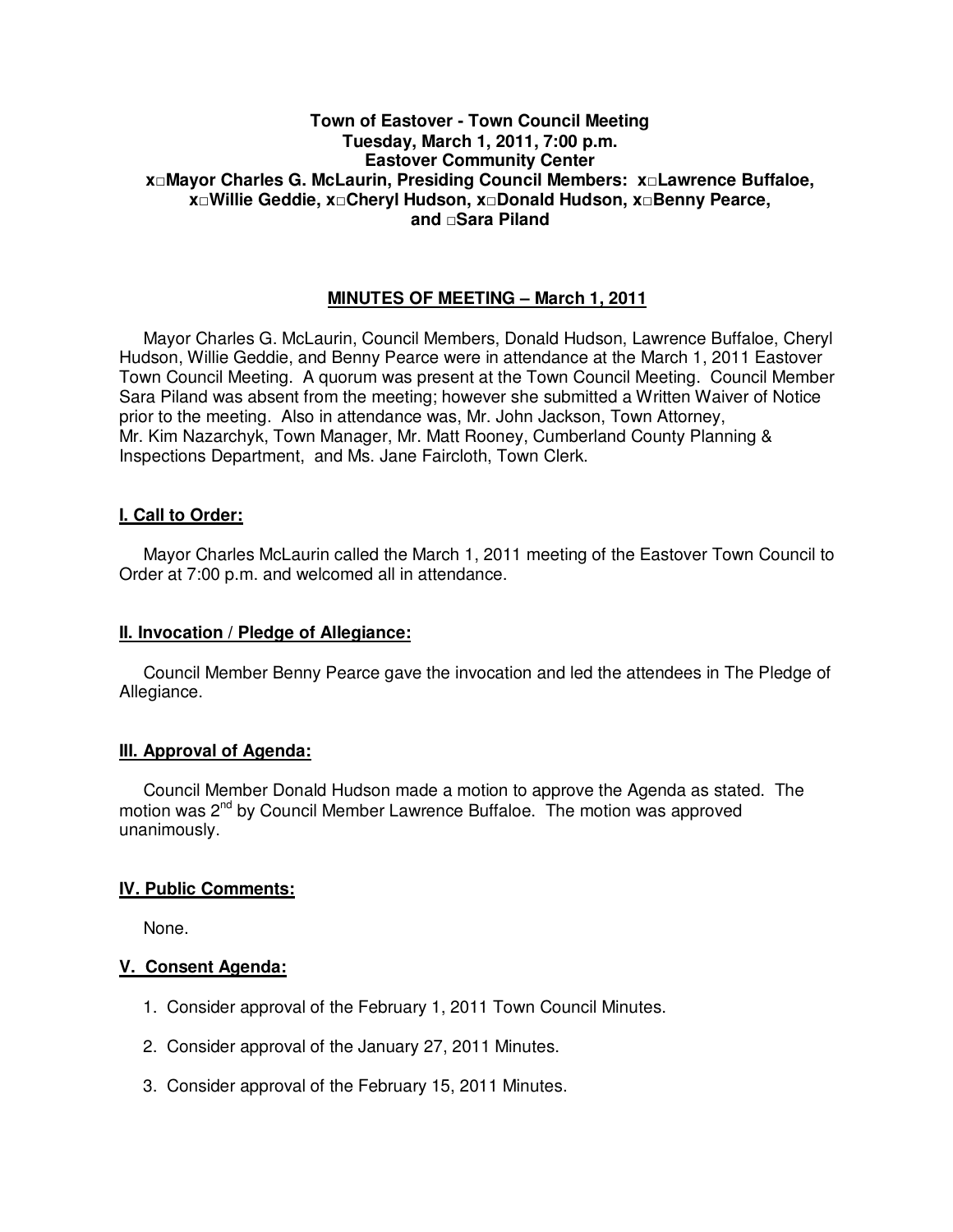### **Town of Eastover - Town Council Meeting Tuesday, March 1, 2011, 7:00 p.m. Eastover Community Center x□Mayor Charles G. McLaurin, Presiding Council Members: x□Lawrence Buffaloe, x□Willie Geddie, x□Cheryl Hudson, x□Donald Hudson, x□Benny Pearce, and □Sara Piland**

# **MINUTES OF MEETING – March 1, 2011**

Mayor Charles G. McLaurin, Council Members, Donald Hudson, Lawrence Buffaloe, Cheryl Hudson, Willie Geddie, and Benny Pearce were in attendance at the March 1, 2011 Eastover Town Council Meeting. A quorum was present at the Town Council Meeting. Council Member Sara Piland was absent from the meeting; however she submitted a Written Waiver of Notice prior to the meeting. Also in attendance was, Mr. John Jackson, Town Attorney, Mr. Kim Nazarchyk, Town Manager, Mr. Matt Rooney, Cumberland County Planning & Inspections Department, and Ms. Jane Faircloth, Town Clerk.

# **I. Call to Order:**

Mayor Charles McLaurin called the March 1, 2011 meeting of the Eastover Town Council to Order at 7:00 p.m. and welcomed all in attendance.

### **II. Invocation / Pledge of Allegiance:**

 Council Member Benny Pearce gave the invocation and led the attendees in The Pledge of Allegiance.

# **III. Approval of Agenda:**

 Council Member Donald Hudson made a motion to approve the Agenda as stated. The motion was  $2^{nd}$  by Council Member Lawrence Buffaloe. The motion was approved unanimously.

# **IV. Public Comments:**

None.

### **V. Consent Agenda:**

- 1. Consider approval of the February 1, 2011 Town Council Minutes.
- 2. Consider approval of the January 27, 2011 Minutes.
- 3. Consider approval of the February 15, 2011 Minutes.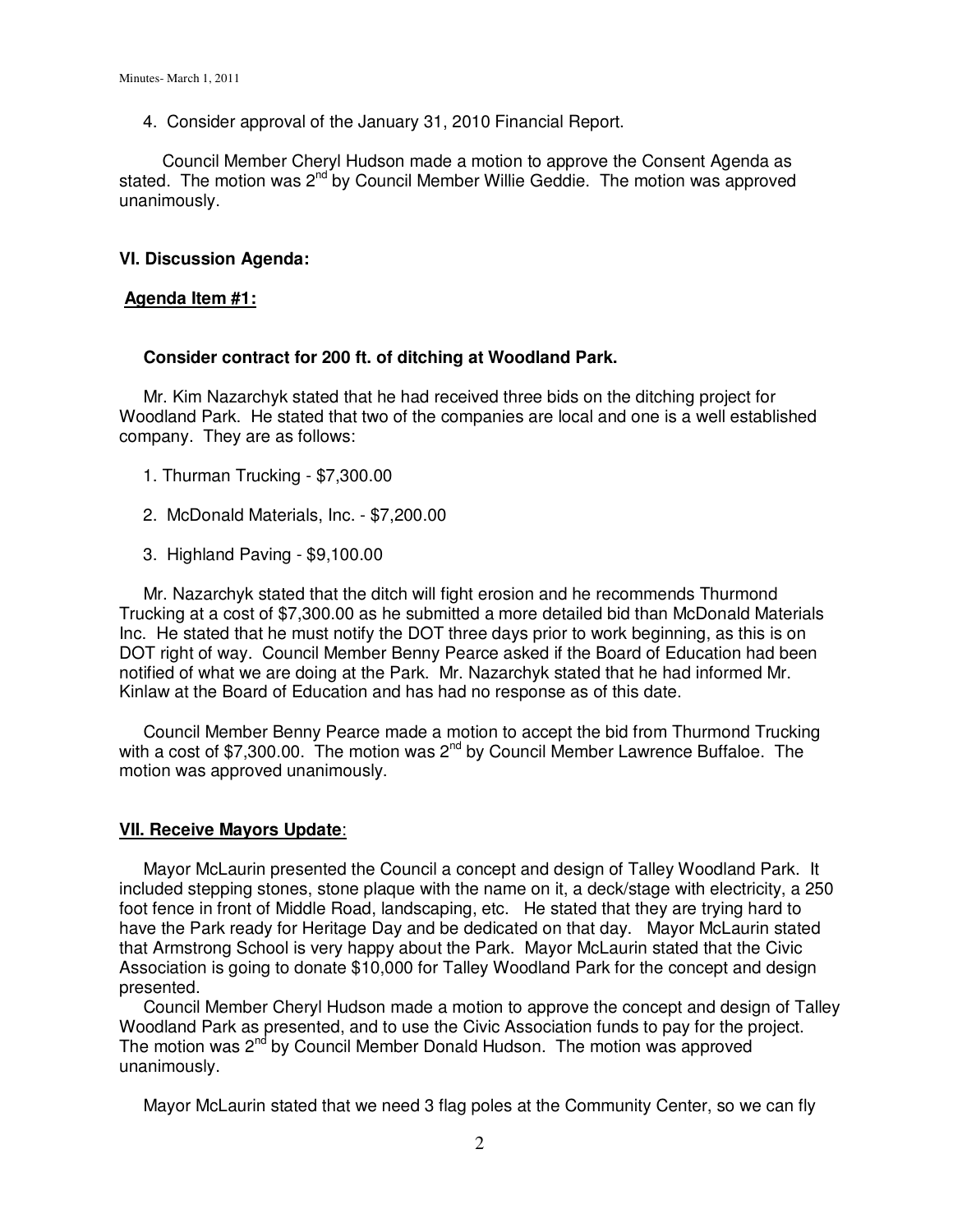4. Consider approval of the January 31, 2010 Financial Report.

Council Member Cheryl Hudson made a motion to approve the Consent Agenda as stated. The motion was 2<sup>nd</sup> by Council Member Willie Geddie. The motion was approved unanimously.

#### **VI. Discussion Agenda:**

#### **Agenda Item #1:**

#### **Consider contract for 200 ft. of ditching at Woodland Park.**

Mr. Kim Nazarchyk stated that he had received three bids on the ditching project for Woodland Park. He stated that two of the companies are local and one is a well established company. They are as follows:

- 1. Thurman Trucking \$7,300.00
- 2. McDonald Materials, Inc. \$7,200.00
- 3. Highland Paving \$9,100.00

 Mr. Nazarchyk stated that the ditch will fight erosion and he recommends Thurmond Trucking at a cost of \$7,300.00 as he submitted a more detailed bid than McDonald Materials Inc. He stated that he must notify the DOT three days prior to work beginning, as this is on DOT right of way. Council Member Benny Pearce asked if the Board of Education had been notified of what we are doing at the Park. Mr. Nazarchyk stated that he had informed Mr. Kinlaw at the Board of Education and has had no response as of this date.

 Council Member Benny Pearce made a motion to accept the bid from Thurmond Trucking with a cost of \$7,300.00. The motion was  $2^{nd}$  by Council Member Lawrence Buffaloe. The motion was approved unanimously.

#### **VII. Receive Mayors Update**:

 Mayor McLaurin presented the Council a concept and design of Talley Woodland Park. It included stepping stones, stone plaque with the name on it, a deck/stage with electricity, a 250 foot fence in front of Middle Road, landscaping, etc. He stated that they are trying hard to have the Park ready for Heritage Day and be dedicated on that day. Mayor McLaurin stated that Armstrong School is very happy about the Park. Mayor McLaurin stated that the Civic Association is going to donate \$10,000 for Talley Woodland Park for the concept and design presented.

 Council Member Cheryl Hudson made a motion to approve the concept and design of Talley Woodland Park as presented, and to use the Civic Association funds to pay for the project. The motion was  $2^{nd}$  by Council Member Donald Hudson. The motion was approved unanimously.

Mayor McLaurin stated that we need 3 flag poles at the Community Center, so we can fly